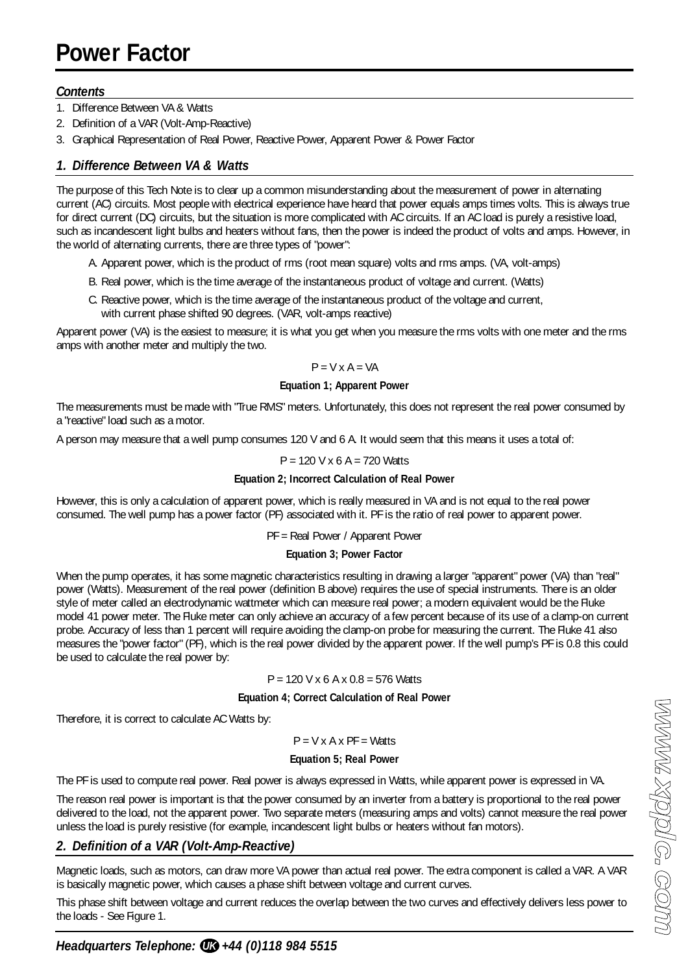# **Power Factor**

### *Contents*

- 1. Difference Between VA & Watts
- 2. Definition of a VAR (Volt-Amp-Reactive)
- 3. Graphical Representation of Real Power, Reactive Power, Apparent Power & Power Factor

# *1. Difference Between VA & Watts*

The purpose of this Tech Note is to clear up a common misunderstanding about the measurement of power in alternating current (AC) circuits. Most people with electrical experience have heard that power equals amps times volts. This is always true for direct current (DC) circuits, but the situation is more complicated with AC circuits. If an AC load is purely a resistive load, such as incandescent light bulbs and heaters without fans, then the power is indeed the product of volts and amps. However, in the world of alternating currents, there are three types of "power":

- A. Apparent power, which is the product of rms (root mean square) volts and rms amps. (VA, volt-amps)
- B. Real power, which is the time average of the instantaneous product of voltage and current. (Watts)
- C. Reactive power, which is the time average of the instantaneous product of the voltage and current, with current phase shifted 90 degrees. (VAR, volt-amps reactive)

Apparent power (VA) is the easiest to measure; it is what you get when you measure the rms volts with one meter and the rms amps with another meter and multiply the two.

#### $P = V \times A = VA$

#### **Equation 1; Apparent Power**

The measurements must be made with "True RMS" meters. Unfortunately, this does not represent the real power consumed by a "reactive" load such as a motor.

A person may measure that a well pump consumes 120 V and 6 A. It would seem that this means it uses a total of:

#### $P = 120$  V x 6 A = 720 Watts

#### **Equation 2; Incorrect Calculation of Real Power**

However, this is only a calculation of apparent power, which is really measured in VA and is not equal to the real power consumed. The well pump has a power factor (PF) associated with it. PF is the ratio of real power to apparent power.

#### PF = Real Power / Apparent Power

#### **Equation 3; Power Factor**

When the pump operates, it has some magnetic characteristics resulting in drawing a larger "apparent" power (VA) than "real" power (Watts). Measurement of the real power (definition B above) requires the use of special instruments. There is an older style of meter called an electrodynamic wattmeter which can measure real power; a modern equivalent would be the Fluke model 41 power meter. The Fluke meter can only achieve an accuracy of a few percent because of its use of a clamp-on current probe. Accuracy of less than 1 percent will require avoiding the clamp-on probe for measuring the current. The Fluke 41 also measures the "power factor" (PF), which is the real power divided by the apparent power. If the well pump's PF is 0.8 this could be used to calculate the real power by:

#### $P = 120$  V x 6 A x 0.8 = 576 Watts

#### **Equation 4; Correct Calculation of Real Power**

Therefore, it is correct to calculate AC Watts by:

#### $P = V \times A \times PF = Watts$

#### **Equation 5; Real Power**

The PF is used to compute real power. Real power is always expressed in Watts, while apparent power is expressed in VA.

The reason real power is important is that the power consumed by an inverter from a battery is proportional to the real power delivered to the load, not the apparent power. Two separate meters (measuring amps and volts) cannot measure the real power unless the load is purely resistive (for example, incandescent light bulbs or heaters without fan motors).

# *2. Definition of a VAR (Volt-Amp-Reactive)*

Magnetic loads, such as motors, can draw more VA power than actual real power. The extra component is called a VAR. A VAR is basically magnetic power, which causes a phase shift between voltage and current curves.

This phase shift between voltage and current reduces the overlap between the two curves and effectively delivers less power to the loads - See Figure 1.

# *Headquarters Telephone:*  $\text{I} \text{I} \text{B}$  *+44 (0)118 984 5515*